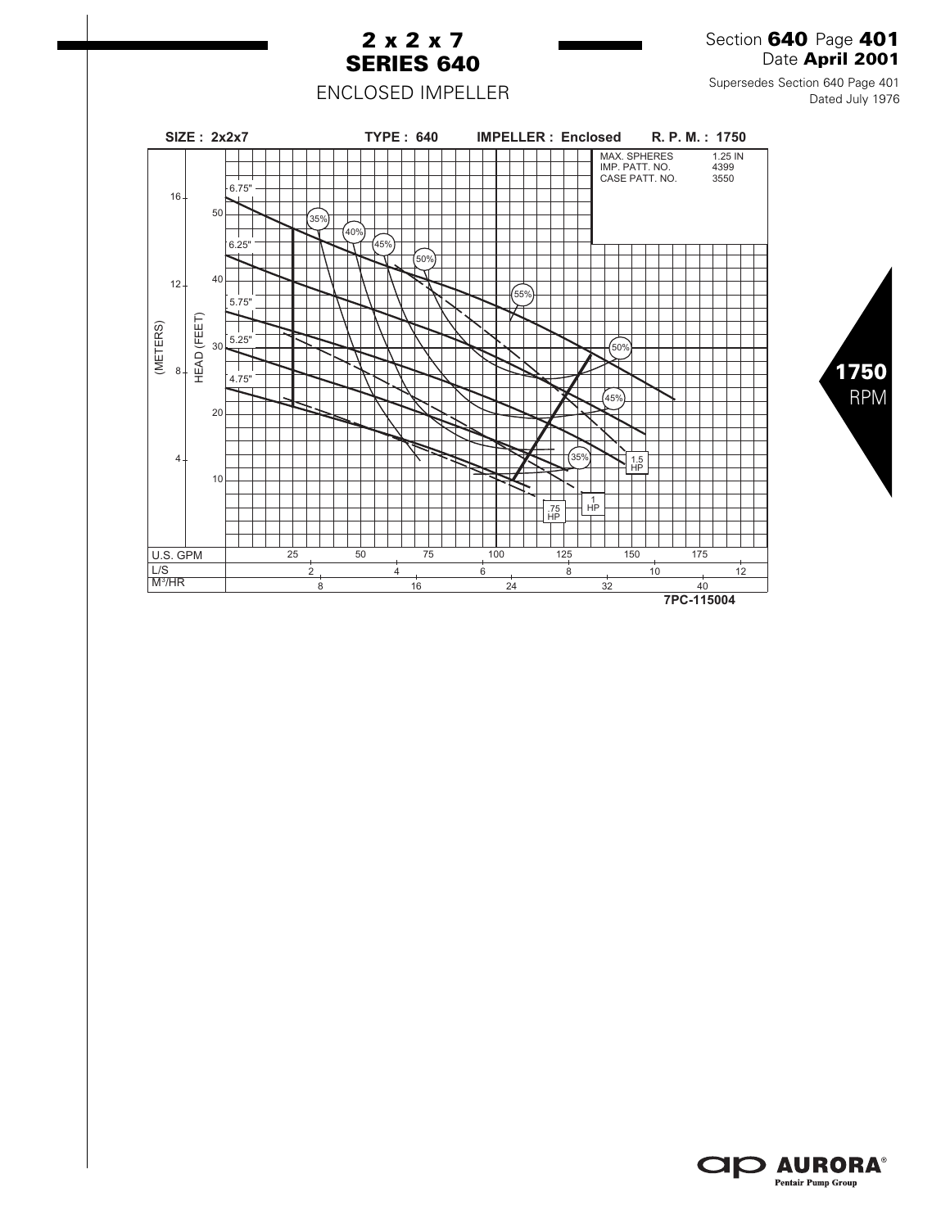

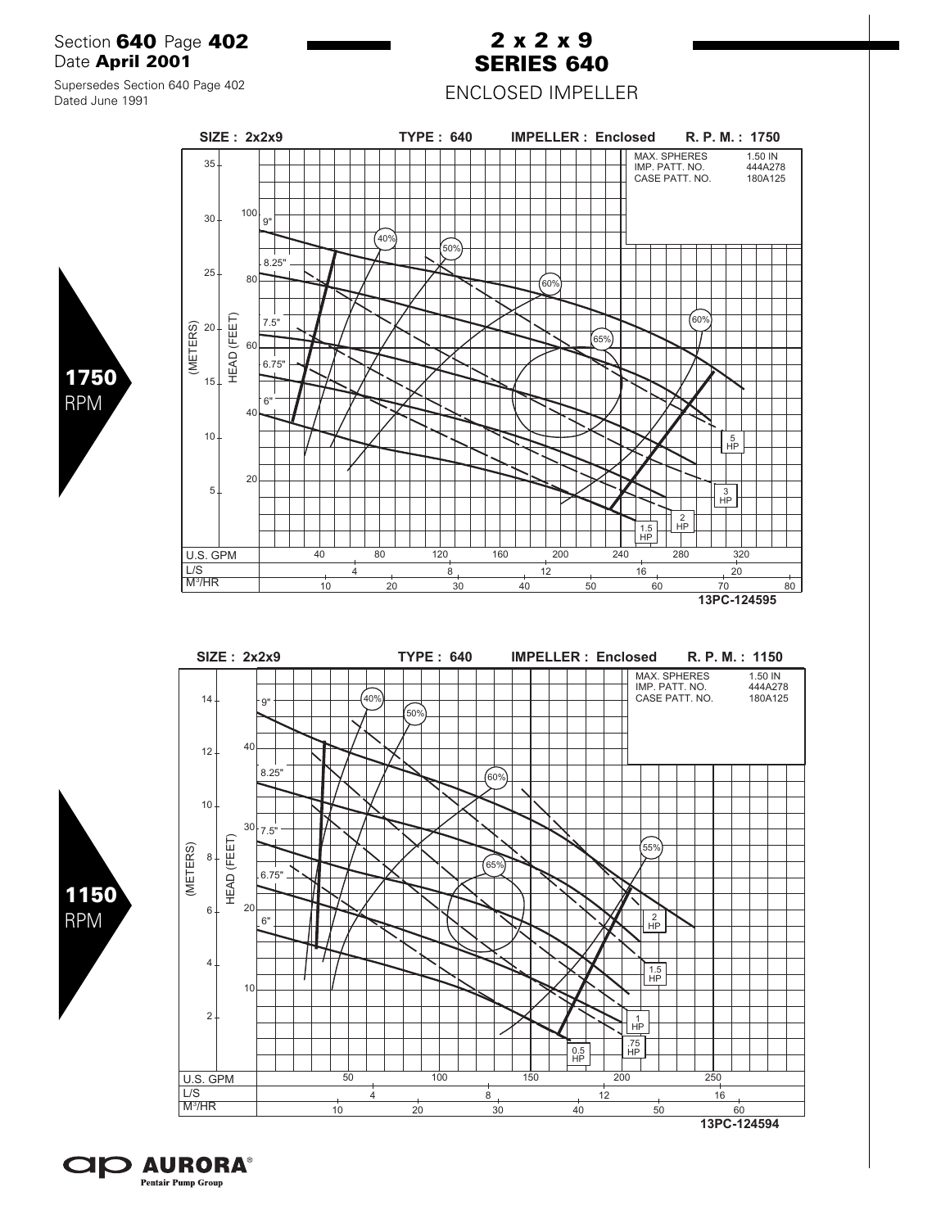Section **640** Page **402** Date **April 2001**

## **2 x 2 x 9 SERIES 640**

ENCLOSED IMPELLER

Supersedes Section 640 Page 402 Dated June 1991

> U.S. GPM M<sup>3</sup>/HR

L/S

(METERS)

**SIZE : 2x2x9 TYPE : 640 IMPELLER : Enclosed R. P. M. : 1750** MAX. SPHERES 1.50 IN 35 IMP. PATT. NO. 444A278 CASE PATT. NO. 180A125 100 30 9"  $40%$  $\int 50\%$ 8.25" 25 80  $60%$ HEAD (FEET) HEAD (FEET) 60% (METERS) 7.5" .<br>65% 60 6.75" 15 6" 40 10 5 HP 20 5 3 HP  $\frac{2}{HP}$ 

40 80 120 160 200 240 280 320

10 20 30 40 50 60 70 80 4 8 12 16 20

**13PC-124595**

1.5 H ሞ

**SIZE : 2x2x9 TYPE : 640 IMPELLER : Enclosed R. P. M. : 1150** MAX. SPHERES 1.50 IN IMP. PATT. NO. 444A278 CASE PATT. NO. 180A125 14 .<br>40%  $\mathbf{Q}^{\prime}$ .<br>50% 40 12 8.25" 60%  $10 30 \big| 7.5$ " HEAD (FEET) HEAD (FEET) (METERS) .<br>55% (METERS) 8  $\sqrt{65\%}$ 6.75" 20 6  $6"$ 2 HP 4 1.5 HP 10  $2 -$ 1 HP  $\frac{1}{10}$   $\frac{1}{10}$   $\frac{1}{10}$   $\frac{1}{10}$   $\frac{1}{10}$   $\frac{1}{10}$   $\frac{1}{10}$   $\frac{1}{10}$   $\frac{1}{10}$   $\frac{1}{10}$   $\frac{1}{10}$   $\frac{1}{10}$   $\frac{1}{10}$   $\frac{1}{10}$   $\frac{1}{10}$   $\frac{1}{10}$   $\frac{1}{10}$   $\frac{1}{10}$   $\frac{1}{10}$   $\frac{1}{10}$  U.S. GPM 50 100 150 200 250 L/S 4 8 12 16 M<sup>3</sup>/HR 10 20 30 40 50 60 **13PC-124594**





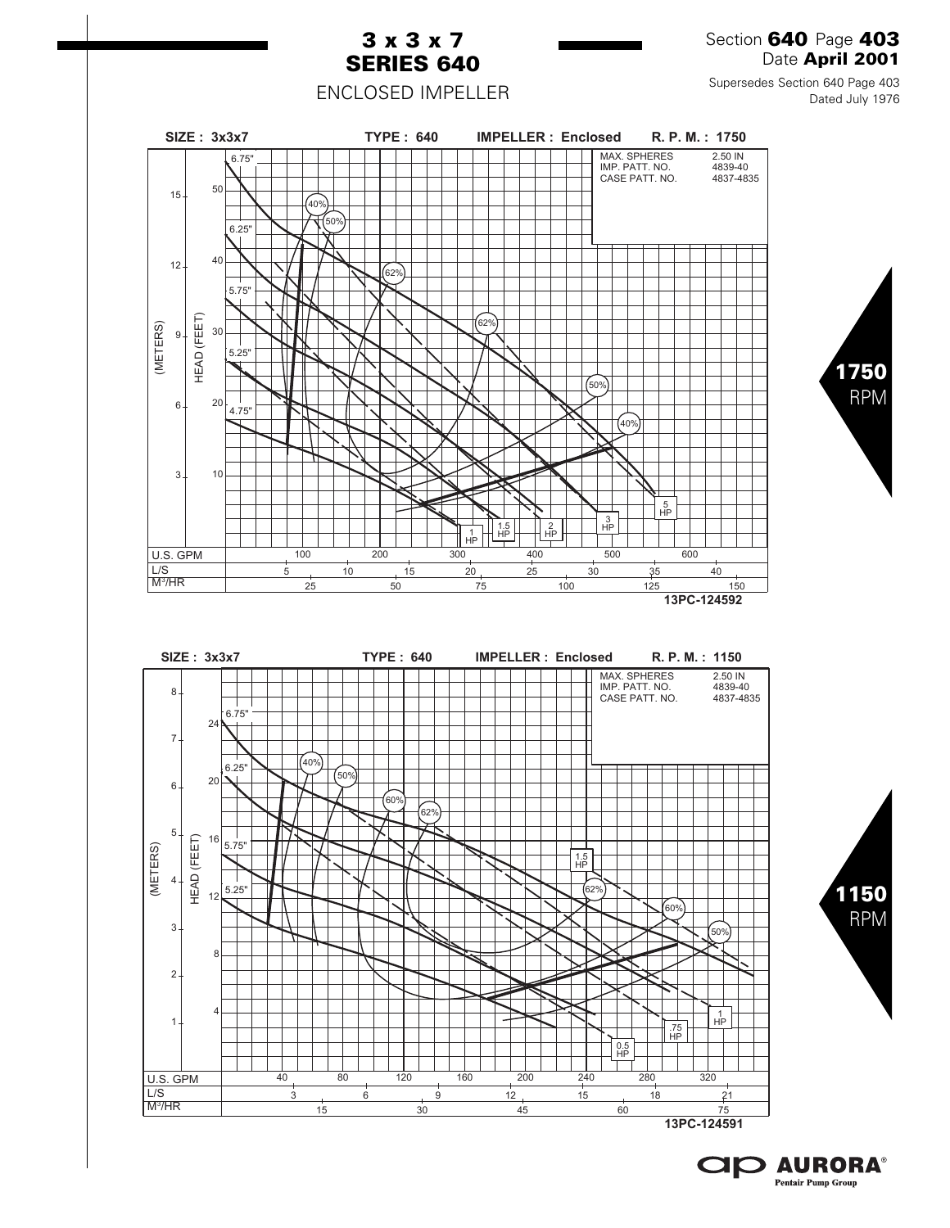

**CIP AURORA® Pentair Pump Group**